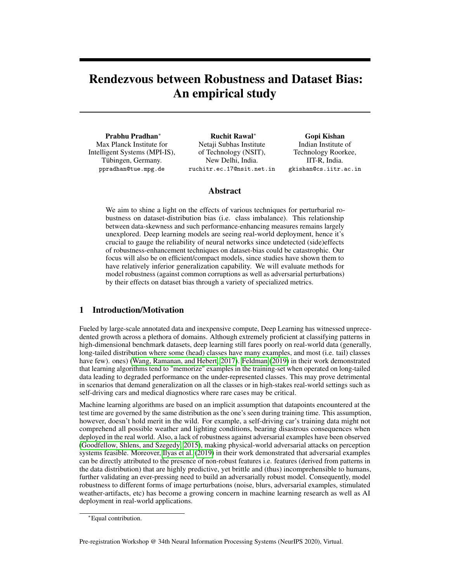# Rendezvous between Robustness and Dataset Bias: An empirical study

Prabhu Pradhan<sup>∗</sup> Max Planck Institute for Intelligent Systems (MPI-IS), Tübingen, Germany. ppradhan@tue.mpg.de

Ruchit Rawal<sup>∗</sup> Netaji Subhas Institute of Technology (NSIT), New Delhi, India. ruchitr.ec.17@nsit.net.in

Gopi Kishan Indian Institute of Technology Roorkee, IIT-R, India. gkishan@cs.iitr.ac.in

## Abstract

We aim to shine a light on the effects of various techniques for perturbarial robustness on dataset-distribution bias (i.e. class imbalance). This relationship between data-skewness and such performance-enhancing measures remains largely unexplored. Deep learning models are seeing real-world deployment, hence it's crucial to gauge the reliability of neural networks since undetected (side)effects of robustness-enhancement techniques on dataset-bias could be catastrophic. Our focus will also be on efficient/compact models, since studies have shown them to have relatively inferior generalization capability. We will evaluate methods for model robustness (against common corruptions as well as adversarial perturbations) by their effects on dataset bias through a variety of specialized metrics.

# 1 Introduction/Motivation

Fueled by large-scale annotated data and inexpensive compute, Deep Learning has witnessed unprecedented growth across a plethora of domains. Although extremely proficient at classifying patterns in high-dimensional benchmark datasets, deep learning still fares poorly on real-world data (generally, long-tailed distribution where some (head) classes have many examples, and most (i.e. tail) classes have few). ones) [\(Wang, Ramanan, and Hebert, 2017\)](#page-5-0). [Feldman](#page-4-0) [\(2019\)](#page-4-0) in their work demonstrated that learning algorithms tend to "memorize" examples in the training-set when operated on long-tailed data leading to degraded performance on the under-represented classes. This may prove detrimental in scenarios that demand generalization on all the classes or in high-stakes real-world settings such as self-driving cars and medical diagnostics where rare cases may be critical.

Machine learning algorithms are based on an implicit assumption that datapoints encountered at the test time are governed by the same distribution as the one's seen during training time. This assumption, however, doesn't hold merit in the wild. For example, a self-driving car's training data might not comprehend all possible weather and lighting conditions, bearing disastrous consequences when deployed in the real world. Also, a lack of robustness against adversarial examples have been observed [\(Goodfellow, Shlens, and Szegedy, 2015\)](#page-4-1), making physical-world adversarial attacks on perception systems feasible. Moreover, [Ilyas et al.](#page-5-1) [\(2019\)](#page-5-1) in their work demonstrated that adversarial examples can be directly attributed to the presence of non-robust features i.e. features (derived from patterns in the data distribution) that are highly predictive, yet brittle and (thus) incomprehensible to humans, further validating an ever-pressing need to build an adversarially robust model. Consequently, model robustness to different forms of image perturbations (noise, blurs, adversarial examples, stimulated weather-artifacts, etc) has become a growing concern in machine learning research as well as AI deployment in real-world applications.

Pre-registration Workshop @ 34th Neural Information Processing Systems (NeurIPS 2020), Virtual.

<sup>∗</sup>Equal contribution.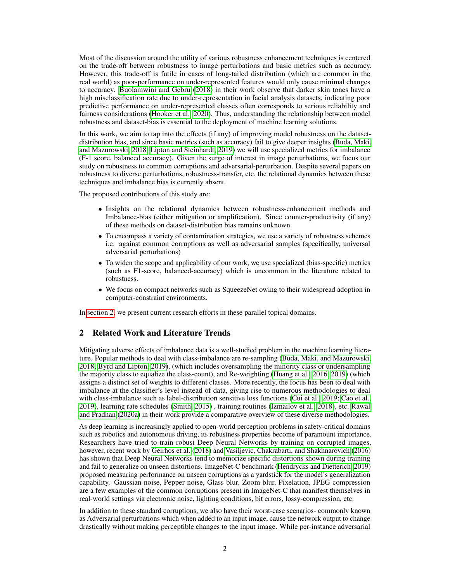Most of the discussion around the utility of various robustness enhancement techniques is centered on the trade-off between robustness to image perturbations and basic metrics such as accuracy. However, this trade-off is futile in cases of long-tailed distribution (which are common in the real world) as poor-performance on under-represented features would only cause minimal changes to accuracy. [Buolamwini and Gebru](#page-4-2) [\(2018\)](#page-4-2) in their work observe that darker skin tones have a high misclassification rate due to under-representation in facial analysis datasets, indicating poor predictive performance on under-represented classes often corresponds to serious reliability and fairness considerations [\(Hooker et al., 2020\)](#page-5-2). Thus, understanding the relationship between model robustness and dataset-bias is essential to the deployment of machine learning solutions.

In this work, we aim to tap into the effects (if any) of improving model robustness on the datasetdistribution bias, and since basic metrics (such as accuracy) fail to give deeper insights [\(Buda, Maki,](#page-4-3) [and Mazurowski, 2018;](#page-4-3) [Lipton and Steinhardt, 2019\)](#page-5-3) we will use specialized metrics for imbalance (F-1 score, balanced accuracy). Given the surge of interest in image perturbations, we focus our study on robustness to common corruptions and adversarial-perturbation. Despite several papers on robustness to diverse perturbations, robustness-transfer, etc, the relational dynamics between these techniques and imbalance bias is currently absent.

The proposed contributions of this study are:

- Insights on the relational dynamics between robustness-enhancement methods and Imbalance-bias (either mitigation or amplification). Since counter-productivity (if any) of these methods on dataset-distribution bias remains unknown.
- To encompass a variety of contamination strategies, we use a variety of robustness schemes i.e. against common corruptions as well as adversarial samples (specifically, universal adversarial perturbations)
- To widen the scope and applicability of our work, we use specialized (bias-specific) metrics (such as F1-score, balanced-accuracy) which is uncommon in the literature related to robustness.
- We focus on compact networks such as SqueezeNet owing to their widespread adoption in computer-constraint environments.

In [section 2,](#page-1-0) we present current research efforts in these parallel topical domains.

# <span id="page-1-0"></span>2 Related Work and Literature Trends

Mitigating adverse effects of imbalance data is a well-studied problem in the machine learning literature. Popular methods to deal with class-imbalance are re-sampling [\(Buda, Maki, and Mazurowski,](#page-4-3) [2018;](#page-4-3) [Byrd and Lipton, 2019\)](#page-4-4), (which includes oversampling the minority class or undersampling the majority class to equalize the class-count), and Re-weighting [\(Huang et al., 2016,](#page-5-4) [2019\)](#page-5-5) (which assigns a distinct set of weights to different classes. More recently, the focus has been to deal with imbalance at the classifier's level instead of data, giving rise to numerous methodologies to deal with class-imbalance such as label-distribution sensitive loss functions [\(Cui et al., 2019;](#page-4-5) [Cao et al.,](#page-4-6) [2019\)](#page-4-6), learning rate schedules [\(Smith, 2015\)](#page-5-6) , training routines [\(Izmailov et al., 2018\)](#page-5-7), etc. [Rawal](#page-5-8) [and Pradhan](#page-5-8) [\(2020a\)](#page-5-8) in their work provide a comparative overview of these diverse methodologies.

As deep learning is increasingly applied to open-world perception problems in safety-critical domains such as robotics and autonomous driving, its robustness properties become of paramount importance. Researchers have tried to train robust Deep Neural Networks by training on corrupted images, however, recent work by [Geirhos et al.](#page-4-7) [\(2018\)](#page-4-7) and [Vasiljevic, Chakrabarti, and Shakhnarovich](#page-5-9) [\(2016\)](#page-5-9) has shown that Deep Neural Networks tend to memorize specific distortions shown during training and fail to generalize on unseen distortions. ImageNet-C benchmark [\(Hendrycks and Dietterich, 2019\)](#page-5-10) proposed measuring performance on unseen corruptions as a yardstick for the model's generalization capability. Gaussian noise, Pepper noise, Glass blur, Zoom blur, Pixelation, JPEG compression are a few examples of the common corruptions present in ImageNet-C that manifest themselves in real-world settings via electronic noise, lighting conditions, bit errors, lossy-compression, etc.

In addition to these standard corruptions, we also have their worst-case scenarios- commonly known as Adversarial perturbations which when added to an input image, cause the network output to change drastically without making perceptible changes to the input image. While per-instance adversarial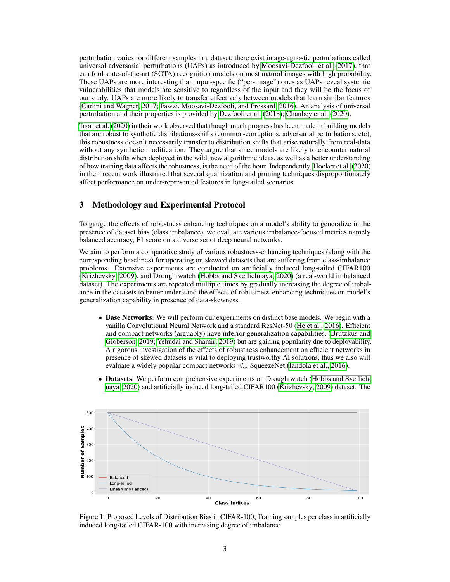perturbation varies for different samples in a dataset, there exist image-agnostic perturbations called universal adversarial perturbations (UAPs) as introduced by [Moosavi-Dezfooli et al.](#page-5-11) [\(2017\)](#page-5-11), that can fool state-of-the-art (SOTA) recognition models on most natural images with high probability. These UAPs are more interesting than input-specific ("per-image") ones as UAPs reveal systemic vulnerabilities that models are sensitive to regardless of the input and they will be the focus of our study. UAPs are more likely to transfer effectively between models that learn similar features [\(Carlini and Wagner, 2017;](#page-4-8) [Fawzi, Moosavi-Dezfooli, and Frossard, 2016\)](#page-4-9). An analysis of universal perturbation and their properties is provided by [Dezfooli et al.](#page-4-10) [\(2018\)](#page-4-10); [Chaubey et al.](#page-4-11) [\(2020\)](#page-4-11).

[Taori et al.](#page-5-12) [\(2020\)](#page-5-12) in their work observed that though much progress has been made in building models that are robust to synthetic distributions-shifts (common-corruptions, adversarial perturbations, etc), this robustness doesn't necessarily transfer to distribution shifts that arise naturally from real-data without any synthetic modification. They argue that since models are likely to encounter natural distribution shifts when deployed in the wild, new algorithmic ideas, as well as a better understanding of how training data affects the robustness, is the need of the hour. Independently, [Hooker et al.](#page-5-2) [\(2020\)](#page-5-2) in their recent work illustrated that several quantization and pruning techniques disproportionately affect performance on under-represented features in long-tailed scenarios.

### 3 Methodology and Experimental Protocol

To gauge the effects of robustness enhancing techniques on a model's ability to generalize in the presence of dataset bias (class imbalance), we evaluate various imbalance-focused metrics namely balanced accuracy, F1 score on a diverse set of deep neural networks.

We aim to perform a comparative study of various robustness-enhancing techniques (along with the corresponding baselines) for operating on skewed datasets that are suffering from class-imbalance problems. Extensive experiments are conducted on artificially induced long-tailed CIFAR100 [\(Krizhevsky, 2009\)](#page-5-13), and Droughtwatch [\(Hobbs and Svetlichnaya, 2020\)](#page-5-14) (a real-world imbalanced dataset). The experiments are repeated multiple times by gradually increasing the degree of imbalance in the datasets to better understand the effects of robustness-enhancing techniques on model's generalization capability in presence of data-skewness.

- Base Networks: We will perform our experiments on distinct base models. We begin with a vanilla Convolutional Neural Network and a standard ResNet-50 [\(He et al., 2016\)](#page-5-15). Efficient and compact networks (arguably) have inferior generalization capabilities, [\(Brutzkus and](#page-4-12) [Globerson, 2019;](#page-4-12) [Yehudai and Shamir, 2019\)](#page-5-16) but are gaining popularity due to deployability. A rigorous investigation of the effects of robustness enhancement on efficient networks in presence of skewed datasets is vital to deploying trustworthy AI solutions, thus we also will evaluate a widely popular compact networks *viz*. SqueezeNet [\(Iandola et al., 2016\)](#page-5-17).
- Datasets: We perform comprehensive experiments on Droughtwatch [\(Hobbs and Svetlich](#page-5-14)[naya, 2020\)](#page-5-14) and artificially induced long-tailed CIFAR100 [\(Krizhevsky, 2009\)](#page-5-13) dataset. The



<span id="page-2-0"></span>Figure 1: Proposed Levels of Distribution Bias in CIFAR-100; Training samples per class in artificially induced long-tailed CIFAR-100 with increasing degree of imbalance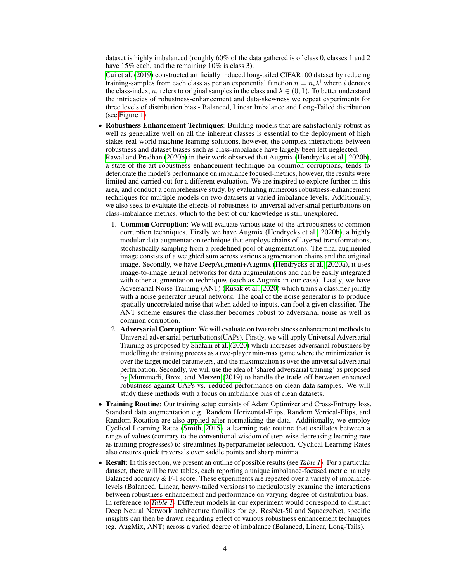dataset is highly imbalanced (roughly 60% of the data gathered is of class 0, classes 1 and 2 have 15% each, and the remaining 10% is class 3).

[Cui et al.](#page-4-5) [\(2019\)](#page-4-5) constructed artificially induced long-tailed CIFAR100 dataset by reducing training-samples from each class as per an exponential function  $n = n_i \lambda^i$  where i denotes the class-index,  $n_i$  refers to original samples in the class and  $\lambda \in (0, 1)$ . To better understand the intricacies of robustness-enhancement and data-skewness we repeat experiments for three levels of distribution bias - Balanced, Linear Imbalance and Long-Tailed distribution (see [Figure 1\)](#page-2-0).

- Robustness Enhancement Techniques: Building models that are satisfactorily robust as well as generalize well on all the inherent classes is essential to the deployment of high stakes real-world machine learning solutions, however, the complex interactions between robustness and dataset biases such as class-imbalance have largely been left neglected. [Rawal and Pradhan](#page-5-18) [\(2020b\)](#page-5-18) in their work observed that Augmix [\(Hendrycks et al., 2020b\)](#page-5-19), a state-of-the-art robustness enhancement technique on common corruptions, tends to deteriorate the model's performance on imbalance focused-metrics, however, the results were limited and carried out for a different evaluation. We are inspired to explore further in this area, and conduct a comprehensive study, by evaluating numerous robustness-enhancement techniques for multiple models on two datasets at varied imbalance levels. Additionally, we also seek to evaluate the effects of robustness to universal adversarial perturbations on class-imbalance metrics, which to the best of our knowledge is still unexplored.
	- 1. Common Corruption: We will evaluate various state-of-the-art robustness to common corruption techniques. Firstly we have Augmix [\(Hendrycks et al., 2020b\)](#page-5-19), a highly modular data augmentation technique that employs chains of layered transformations, stochastically sampling from a predefined pool of augmentations. The final augmented image consists of a weighted sum across various augmentation chains and the original image. Secondly, we have DeepAugment+Augmix [\(Hendrycks et al., 2020a\)](#page-5-20), it uses image-to-image neural networks for data augmentations and can be easily integrated with other augmentation techniques (such as Augmix in our case). Lastly, we have Adversarial Noise Training (ANT) [\(Rusak et al., 2020\)](#page-5-21) which trains a classifier jointly with a noise generator neural network. The goal of the noise generator is to produce spatially uncorrelated noise that when added to inputs, can fool a given classifier. The ANT scheme ensures the classifier becomes robust to adversarial noise as well as common corruption.
	- 2. Adversarial Corruption: We will evaluate on two robustness enhancement methods to Universal adversarial perturbations(UAPs). Firstly, we will apply Universal Adversarial Training as proposed by [Shafahi et al.](#page-5-22) [\(2020\)](#page-5-22) which increases adversarial robustness by modelling the training process as a two-player min-max game where the minimization is over the target model parameters, and the maximization is over the universal adversarial perturbation. Secondly, we will use the idea of 'shared adversarial training' as proposed by [Mummadi, Brox, and Metzen](#page-5-23) [\(2019\)](#page-5-23) to handle the trade-off between enhanced robustness against UAPs vs. reduced performance on clean data samples. We will study these methods with a focus on imbalance bias of clean datasets.
- Training Routine: Our training setup consists of Adam Optimizer and Cross-Entropy loss. Standard data augmentation e.g. Random Horizontal-Flips, Random Vertical-Flips, and Random Rotation are also applied after normalizing the data. Additionally, we employ Cyclical Learning Rates [\(Smith, 2015\)](#page-5-6), a learning rate routine that oscillates between a range of values (contrary to the conventional wisdom of step-wise decreasing learning rate as training progresses) to streamlines hyperparameter selection. Cyclical Learning Rates also ensures quick traversals over saddle points and sharp minima.
- Result: In this section, we present an outline of possible results (see *[Table 1](#page-4-13)*). For a particular dataset, there will be two tables, each reporting a unique imbalance-focused metric namely Balanced accuracy  $&$  F-1 score. These experiments are repeated over a variety of imbalancelevels (Balanced, Linear, heavy-tailed versions) to meticulously examine the interactions between robustness-enhancement and performance on varying degree of distribution bias. In reference to *[Table 1](#page-4-13)*- Different models in our experiment would correspond to distinct Deep Neural Network architecture families for eg. ResNet-50 and SqueezeNet, specific insights can then be drawn regarding effect of various robustness enhancement techniques (eg. AugMix, ANT) across a varied degree of imbalance (Balanced, Linear, Long-Tails).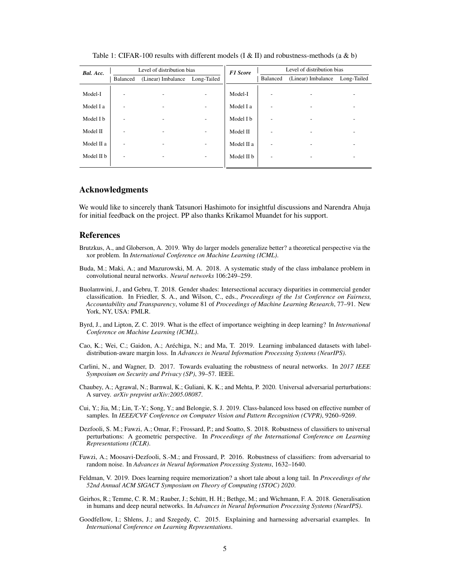| Bal. Acc.  | Level of distribution bias |                          |                   | <b>F1 Score</b> | Level of distribution bias |                    |             |
|------------|----------------------------|--------------------------|-------------------|-----------------|----------------------------|--------------------|-------------|
|            | Balanced                   | (Linear) Imbalance       | Long-Tailed       |                 | Balanced                   | (Linear) Imbalance | Long-Tailed |
| Model-I    | ۰                          | -                        | -                 | Model-I         |                            |                    |             |
| Model I a  | ۰                          | $\overline{\phantom{a}}$ | $\qquad \qquad -$ | Model I a       |                            |                    |             |
| Model I b  | ۰                          | $\overline{a}$           | -                 | Model I b       |                            |                    |             |
| Model II   | ۰                          | -                        | $\qquad \qquad -$ | Model II        |                            |                    |             |
| Model II a | ۰                          | $\overline{a}$           | -                 | Model II a      |                            |                    |             |
| Model II b | -                          | -                        | -                 | Model II b      |                            |                    |             |
|            |                            |                          |                   |                 |                            |                    |             |

<span id="page-4-13"></span>Table 1: CIFAR-100 results with different models (I & II) and robustness-methods (a & b)

#### Acknowledgments

We would like to sincerely thank Tatsunori Hashimoto for insightful discussions and Narendra Ahuja for initial feedback on the project. PP also thanks Krikamol Muandet for his support.

#### References

- <span id="page-4-12"></span>Brutzkus, A., and Globerson, A. 2019. Why do larger models generalize better? a theoretical perspective via the xor problem. In *International Conference on Machine Learning (ICML)*.
- <span id="page-4-3"></span>Buda, M.; Maki, A.; and Mazurowski, M. A. 2018. A systematic study of the class imbalance problem in convolutional neural networks. *Neural networks* 106:249–259.
- <span id="page-4-2"></span>Buolamwini, J., and Gebru, T. 2018. Gender shades: Intersectional accuracy disparities in commercial gender classification. In Friedler, S. A., and Wilson, C., eds., *Proceedings of the 1st Conference on Fairness, Accountability and Transparency*, volume 81 of *Proceedings of Machine Learning Research*, 77–91. New York, NY, USA: PMLR.
- <span id="page-4-4"></span>Byrd, J., and Lipton, Z. C. 2019. What is the effect of importance weighting in deep learning? In *International Conference on Machine Learning (ICML)*.
- <span id="page-4-6"></span>Cao, K.; Wei, C.; Gaidon, A.; Aréchiga, N.; and Ma, T. 2019. Learning imbalanced datasets with labeldistribution-aware margin loss. In *Advances in Neural Information Processing Systems (NeurIPS)*.
- <span id="page-4-8"></span>Carlini, N., and Wagner, D. 2017. Towards evaluating the robustness of neural networks. In *2017 IEEE Symposium on Security and Privacy (SP)*, 39–57. IEEE.
- <span id="page-4-11"></span>Chaubey, A.; Agrawal, N.; Barnwal, K.; Guliani, K. K.; and Mehta, P. 2020. Universal adversarial perturbations: A survey. *arXiv preprint arXiv:2005.08087*.
- <span id="page-4-5"></span>Cui, Y.; Jia, M.; Lin, T.-Y.; Song, Y.; and Belongie, S. J. 2019. Class-balanced loss based on effective number of samples. In *IEEE/CVF Conference on Computer Vision and Pattern Recognition (CVPR)*, 9260–9269.
- <span id="page-4-10"></span>Dezfooli, S. M.; Fawzi, A.; Omar, F.; Frossard, P.; and Soatto, S. 2018. Robustness of classifiers to universal perturbations: A geometric perspective. In *Proceedings of the International Conference on Learning Representations (ICLR)*.
- <span id="page-4-9"></span>Fawzi, A.; Moosavi-Dezfooli, S.-M.; and Frossard, P. 2016. Robustness of classifiers: from adversarial to random noise. In *Advances in Neural Information Processing Systems*, 1632–1640.
- <span id="page-4-0"></span>Feldman, V. 2019. Does learning require memorization? a short tale about a long tail. In *Proceedings of the 52nd Annual ACM SIGACT Symposium on Theory of Computing (STOC) 2020*.
- <span id="page-4-7"></span>Geirhos, R.; Temme, C. R. M.; Rauber, J.; Schütt, H. H.; Bethge, M.; and Wichmann, F. A. 2018. Generalisation in humans and deep neural networks. In *Advances in Neural Information Processing Systems (NeurIPS)*.
- <span id="page-4-1"></span>Goodfellow, I.; Shlens, J.; and Szegedy, C. 2015. Explaining and harnessing adversarial examples. In *International Conference on Learning Representations*.